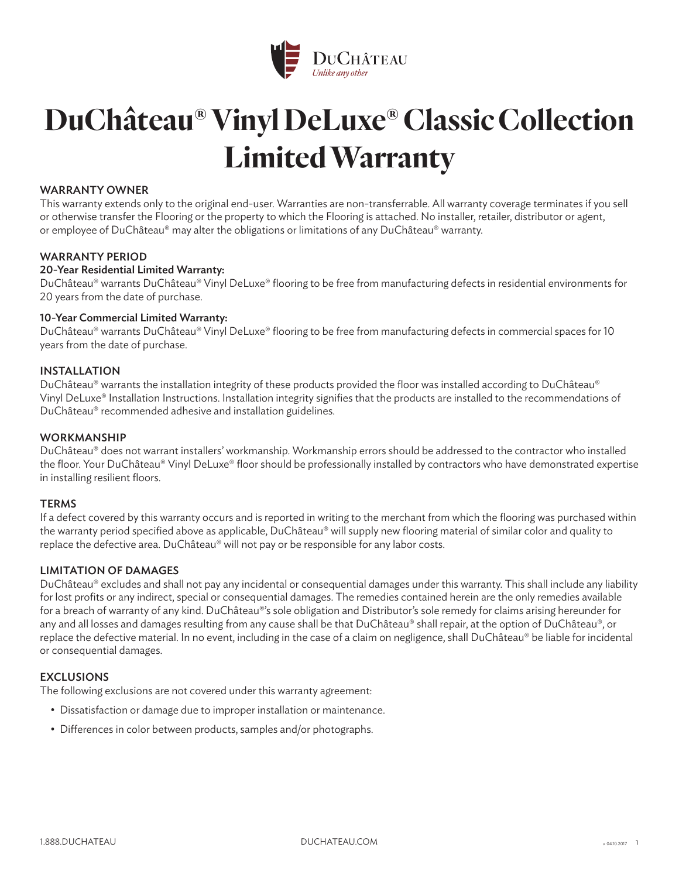

# **DuChâteau® Vinyl DeLuxe® Classic Collection Limited Warranty**

## WARRANTY OWNER

This warranty extends only to the original end-user. Warranties are non-transferrable. All warranty coverage terminates if you sell or otherwise transfer the Flooring or the property to which the Flooring is attached. No installer, retailer, distributor or agent, or employee of DuChâteau® may alter the obligations or limitations of any DuChâteau® warranty.

## WARRANTY PERIOD

## 20-Year Residential Limited Warranty:

DuChâteau® warrants DuChâteau® Vinyl DeLuxe® flooring to be free from manufacturing defects in residential environments for 20 years from the date of purchase.

## 10-Year Commercial Limited Warranty:

DuChâteau® warrants DuChâteau® Vinyl DeLuxe® flooring to be free from manufacturing defects in commercial spaces for 10 years from the date of purchase.

## INSTALLATION

DuChâteau® warrants the installation integrity of these products provided the floor was installed according to DuChâteau® Vinyl DeLuxe® Installation Instructions. Installation integrity signifies that the products are installed to the recommendations of DuChâteau® recommended adhesive and installation guidelines.

### WORKMANSHIP

DuChâteau® does not warrant installers' workmanship. Workmanship errors should be addressed to the contractor who installed the floor. Your DuChâteau® Vinyl DeLuxe® floor should be professionally installed by contractors who have demonstrated expertise in installing resilient floors.

#### **TERMS**

If a defect covered by this warranty occurs and is reported in writing to the merchant from which the flooring was purchased within the warranty period specified above as applicable, DuChâteau® will supply new flooring material of similar color and quality to replace the defective area. DuChâteau® will not pay or be responsible for any labor costs.

# LIMITATION OF DAMAGES

DuChâteau® excludes and shall not pay any incidental or consequential damages under this warranty. This shall include any liability for lost profits or any indirect, special or consequential damages. The remedies contained herein are the only remedies available for a breach of warranty of any kind. DuChâteau®'s sole obligation and Distributor's sole remedy for claims arising hereunder for any and all losses and damages resulting from any cause shall be that DuChâteau® shall repair, at the option of DuChâteau®, or replace the defective material. In no event, including in the case of a claim on negligence, shall DuChâteau® be liable for incidental or consequential damages.

# **EXCLUSIONS**

The following exclusions are not covered under this warranty agreement:

- Dissatisfaction or damage due to improper installation or maintenance.
- Differences in color between products, samples and/or photographs.